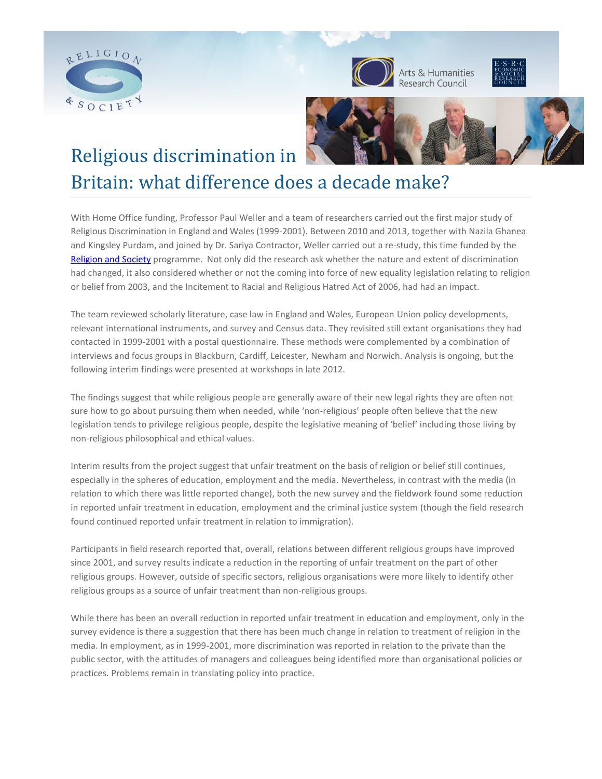





# Religious discrimination in

# Britain: what difference does a decade make?

With Home Office funding, Professor Paul Weller and a team of researchers carried out the first major study of Religious Discrimination in England and Wales (1999-2001). Between 2010 and 2013, together with Nazila Ghanea and Kingsley Purdam, and joined by Dr. Sariya Contractor, Weller carried out a re-study, this time funded by the [Religion and Society](http://www.religionandsociety.org.uk/) programme. Not only did the research ask whether the nature and extent of discrimination had changed, it also considered whether or not the coming into force of new equality legislation relating to religion or belief from 2003, and the Incitement to Racial and Religious Hatred Act of 2006, had had an impact.

The team reviewed scholarly literature, case law in England and Wales, European Union policy developments, relevant international instruments, and survey and Census data. They revisited still extant organisations they had contacted in 1999-2001 with a postal questionnaire. These methods were complemented by a combination of interviews and focus groups in Blackburn, Cardiff, Leicester, Newham and Norwich. Analysis is ongoing, but the following interim findings were presented at workshops in late 2012.

The findings suggest that while religious people are generally aware of their new legal rights they are often not sure how to go about pursuing them when needed, while 'non-religious' people often believe that the new legislation tends to privilege religious people, despite the legislative meaning of 'belief' including those living by non-religious philosophical and ethical values.

Interim results from the project suggest that unfair treatment on the basis of religion or belief still continues, especially in the spheres of education, employment and the media. Nevertheless, in contrast with the media (in relation to which there was little reported change), both the new survey and the fieldwork found some reduction in reported unfair treatment in education, employment and the criminal justice system (though the field research found continued reported unfair treatment in relation to immigration).

Participants in field research reported that, overall, relations between different religious groups have improved since 2001, and survey results indicate a reduction in the reporting of unfair treatment on the part of other religious groups. However, outside of specific sectors, religious organisations were more likely to identify other religious groups as a source of unfair treatment than non-religious groups.

While there has been an overall reduction in reported unfair treatment in education and employment, only in the survey evidence is there a suggestion that there has been much change in relation to treatment of religion in the media. In employment, as in 1999-2001, more discrimination was reported in relation to the private than the public sector, with the attitudes of managers and colleagues being identified more than organisational policies or practices. Problems remain in translating policy into practice.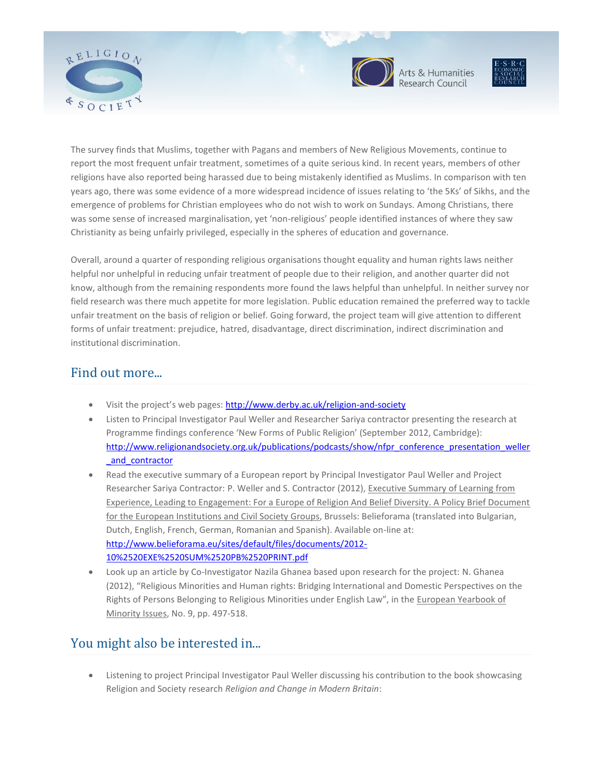



Arts & Humanities<br>Research Council



The survey finds that Muslims, together with Pagans and members of New Religious Movements, continue to report the most frequent unfair treatment, sometimes of a quite serious kind. In recent years, members of other religions have also reported being harassed due to being mistakenly identified as Muslims. In comparison with ten years ago, there was some evidence of a more widespread incidence of issues relating to 'the 5Ks' of Sikhs, and the emergence of problems for Christian employees who do not wish to work on Sundays. Among Christians, there was some sense of increased marginalisation, yet 'non-religious' people identified instances of where they saw Christianity as being unfairly privileged, especially in the spheres of education and governance.

Overall, around a quarter of responding religious organisations thought equality and human rights laws neither helpful nor unhelpful in reducing unfair treatment of people due to their religion, and another quarter did not know, although from the remaining respondents more found the laws helpful than unhelpful. In neither survey nor field research was there much appetite for more legislation. Public education remained the preferred way to tackle unfair treatment on the basis of religion or belief. Going forward, the project team will give attention to different forms of unfair treatment: prejudice, hatred, disadvantage, direct discrimination, indirect discrimination and institutional discrimination.

## Find out more...

- Visit the project's web pages: <http://www.derby.ac.uk/religion-and-society>
- Listen to Principal Investigator Paul Weller and Researcher Sariya contractor presenting the research at Programme findings conference 'New Forms of Public Religion' (September 2012, Cambridge): [http://www.religionandsociety.org.uk/publications/podcasts/show/nfpr\\_conference\\_presentation\\_weller](http://www.religionandsociety.org.uk/publications/podcasts/show/nfpr_conference_presentation_weller_and_contractor) [\\_and\\_contractor](http://www.religionandsociety.org.uk/publications/podcasts/show/nfpr_conference_presentation_weller_and_contractor)
- Read the executive summary of a European report by Principal Investigator Paul Weller and Project Researcher Sariya Contractor: P. Weller and S. Contractor (2012), Executive Summary of Learning from Experience, Leading to Engagement: For a Europe of Religion And Belief Diversity. A Policy Brief Document for the European Institutions and Civil Society Groups, Brussels: Belieforama (translated into Bulgarian, Dutch, English, French, German, Romanian and Spanish). Available on-line at: [http://www.belieforama.eu/sites/default/files/documents/2012-](http://www.belieforama.eu/sites/default/files/documents/2012-10%2520EXE%2520SUM%2520PB%2520PRINT.pdf) [10%2520EXE%2520SUM%2520PB%2520PRINT.pdf](http://www.belieforama.eu/sites/default/files/documents/2012-10%2520EXE%2520SUM%2520PB%2520PRINT.pdf)
- Look up an article by Co-Investigator Nazila Ghanea based upon research for the project: N. Ghanea (2012), "Religious Minorities and Human rights: Bridging International and Domestic Perspectives on the Rights of Persons Belonging to Religious Minorities under English Law", in the European Yearbook of Minority Issues, No. 9, pp. 497-518.

# You might also be interested in...

 Listening to project Principal Investigator Paul Weller discussing his contribution to the book showcasing Religion and Society research *Religion and Change in Modern Britain*: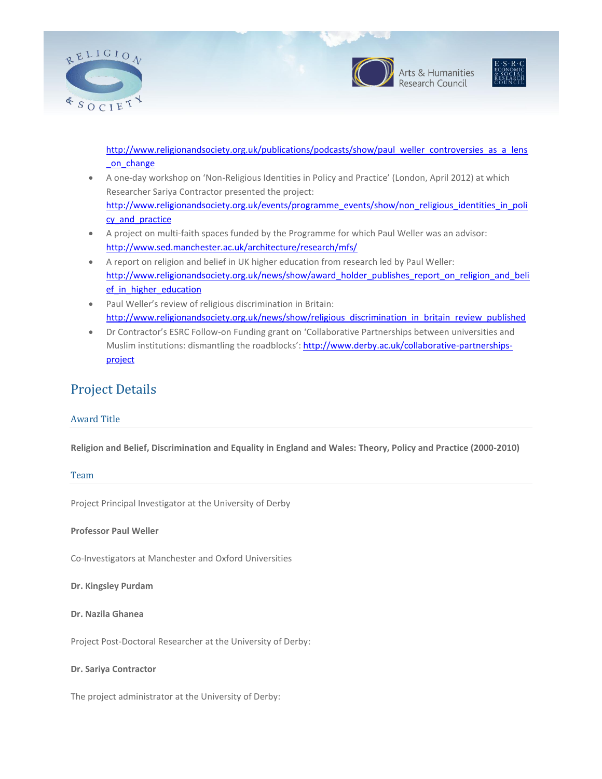



Arts & Humanities<br>Research Council



[http://www.religionandsociety.org.uk/publications/podcasts/show/paul\\_weller\\_controversies\\_as\\_a\\_lens](http://www.religionandsociety.org.uk/publications/podcasts/show/paul_weller_controversies_as_a_lens_on_change) on change

- A one-day workshop on 'Non-Religious Identities in Policy and Practice' (London, April 2012) at which Researcher Sariya Contractor presented the project: [http://www.religionandsociety.org.uk/events/programme\\_events/show/non\\_religious\\_identities\\_in\\_poli](http://www.religionandsociety.org.uk/events/programme_events/show/non_religious_identities_in_policy_and_practice) cy and practice
- A project on multi-faith spaces funded by the Programme for which Paul Weller was an advisor: <http://www.sed.manchester.ac.uk/architecture/research/mfs/>
- A report on religion and belief in UK higher education from research led by Paul Weller: [http://www.religionandsociety.org.uk/news/show/award\\_holder\\_publishes\\_report\\_on\\_religion\\_and\\_beli](http://www.religionandsociety.org.uk/news/show/award_holder_publishes_report_on_religion_and_belief_in_higher_education) ef in higher education
- Paul Weller's review of religious discrimination in Britain: [http://www.religionandsociety.org.uk/news/show/religious\\_discrimination\\_in\\_britain\\_review\\_published](http://www.religionandsociety.org.uk/news/show/religious_discrimination_in_britain_review_published)
- Dr Contractor's ESRC Follow-on Funding grant on 'Collaborative Partnerships between universities and Muslim institutions: dismantling the roadblocks'[: http://www.derby.ac.uk/collaborative-partnerships](http://www.derby.ac.uk/collaborative-partnerships-project)[project](http://www.derby.ac.uk/collaborative-partnerships-project)

## Project Details

#### Award Title

**Religion and Belief, Discrimination and Equality in England and Wales: Theory, Policy and Practice (2000-2010)**

#### Team

Project Principal Investigator at the University of Derby

**Professor Paul Weller**

Co-Investigators at Manchester and Oxford Universities

**Dr. Kingsley Purdam**

**Dr. Nazila Ghanea**

Project Post-Doctoral Researcher at the University of Derby:

#### **Dr. Sariya Contractor**

The project administrator at the University of Derby: